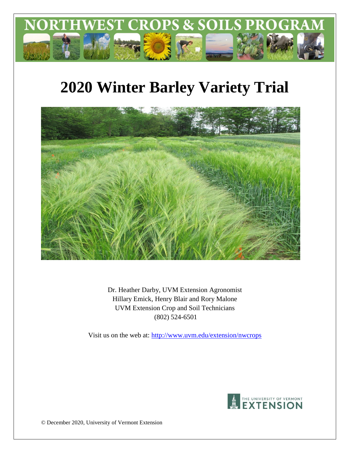

# **2020 Winter Barley Variety Trial**



Dr. Heather Darby, UVM Extension Agronomist Hillary Emick, Henry Blair and Rory Malone UVM Extension Crop and Soil Technicians (802) 524-6501

Visit us on the web at:<http://www.uvm.edu/extension/nwcrops>



© December 2020, University of Vermont Extension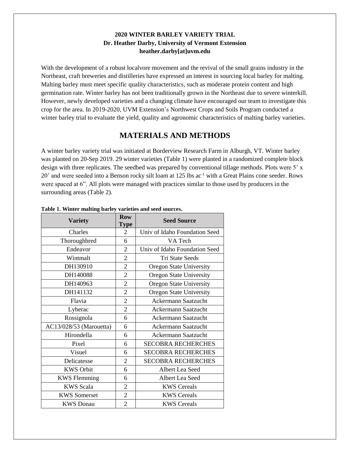#### **2020 WINTER BARLEY VARIETY TRIAL Dr. Heather Darby, University of Vermont Extension heather.darby[at]uvm.edu**

With the development of a robust localvore movement and the revival of the small grains industry in the Northeast, craft breweries and distilleries have expressed an interest in sourcing local barley for malting. Malting barley must meet specific quality characteristics, such as moderate protein content and high germination rate. Winter barley has not been traditionally grown in the Northeast due to severe winterkill. However, newly developed varieties and a changing climate have encouraged our team to investigate this crop for the area. In 2019-2020, UVM Extension's Northwest Crops and Soils Program conducted a winter barley trial to evaluate the yield, quality and agronomic characteristics of malting barley varieties.

### **MATERIALS AND METHODS**

A winter barley variety trial was initiated at Borderview Research Farm in Alburgh, VT. Winter barley was planted on 20-Sep 2019. 29 winter varieties (Table 1) were planted in a randomized complete block design with three replicates. The seedbed was prepared by conventional tillage methods. Plots were 5' x 20' and were seeded into a Benson rocky silt loam at 125 lbs ac<sup>-1</sup> with a Great Plains cone seeder. Rows were spaced at 6". All plots were managed with practices similar to those used by producers in the surrounding areas (Table 2).

| <b>Variety</b>          | <b>Row</b><br><b>Type</b> | <b>Seed Source</b>             |
|-------------------------|---------------------------|--------------------------------|
| Charles                 | 2                         | Univ of Idaho Foundation Seed  |
| Thoroughbred            | 6                         | VA Tech                        |
| Endeavor                | $\overline{2}$            | Univ of Idaho Foundation Seed  |
| Wintmalt                | $\overline{2}$            | Tri State Seeds                |
| DH130910                | $\overline{2}$            | <b>Oregon State University</b> |
| DH140088                | $\overline{2}$            | <b>Oregon State University</b> |
| DH140963                | $\overline{2}$            | <b>Oregon State University</b> |
| DH141132                | $\overline{2}$            | <b>Oregon State University</b> |
| Flavia                  | $\overline{2}$            | Ackermann Saatzucht            |
| Lyberac                 | $\overline{2}$            | Ackermann Saatzucht            |
| Rossignola              | 6                         | Ackermann Saatzucht            |
| AC13/028/53 (Marouetta) | 6                         | Ackermann Saatzucht            |
| Hirondella              | 6                         | Ackermann Saatzucht            |
| Pixel                   | 6                         | <b>SECOBRA RECHERCHES</b>      |
| Visuel                  | 6                         | <b>SECOBRA RECHERCHES</b>      |
| Delicatesse             | $\overline{2}$            | <b>SECOBRA RECHERCHES</b>      |
| <b>KWS Orbit</b>        | 6                         | Albert Lea Seed                |
| <b>KWS</b> Flemming     | 6                         | Albert Lea Seed                |
| <b>KWS</b> Scala        | $\overline{2}$            | <b>KWS Cereals</b>             |
| <b>KWS Somerset</b>     | $\overline{2}$            | <b>KWS Cereals</b>             |
| <b>KWS</b> Donau        | $\overline{2}$            | <b>KWS</b> Cereals             |

**Table 1. Winter malting barley varieties and seed sources.**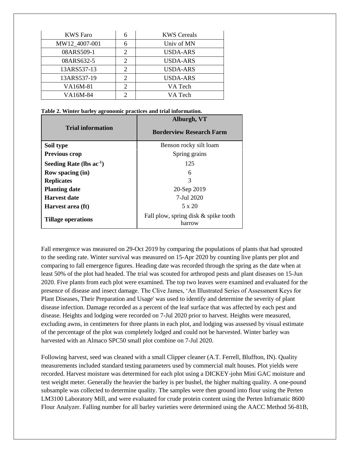| <b>KWS</b> Faro | 6                           | <b>KWS</b> Cereals |
|-----------------|-----------------------------|--------------------|
| MW12_4007-001   | 6                           | Univ of MN         |
| 08ARS509-1      | 2                           | <b>USDA-ARS</b>    |
| 08ARS632-5      | 2                           | <b>USDA-ARS</b>    |
| 13ARS537-13     | $\overline{c}$              | <b>USDA-ARS</b>    |
| 13ARS537-19     | $\overline{c}$              | <b>USDA-ARS</b>    |
| VA16M-81        | $\mathcal{D}_{\mathcal{L}}$ | VA Tech            |
| VA16M-84        | $\mathcal{D}_{\mathcal{L}}$ | VA Tech            |

| Table 2. Winter barley agronomic practices and trial information. |  |
|-------------------------------------------------------------------|--|
|-------------------------------------------------------------------|--|

|                              | Alburgh, VT                                    |  |  |  |  |  |
|------------------------------|------------------------------------------------|--|--|--|--|--|
| <b>Trial information</b>     | <b>Borderview Research Farm</b>                |  |  |  |  |  |
| Soil type                    | Benson rocky silt loam                         |  |  |  |  |  |
| <b>Previous crop</b>         | Spring grains                                  |  |  |  |  |  |
| Seeding Rate $(lbs ac^{-1})$ | 125                                            |  |  |  |  |  |
| <b>Row spacing (in)</b>      | 6                                              |  |  |  |  |  |
| <b>Replicates</b>            | 3                                              |  |  |  |  |  |
| <b>Planting date</b>         | 20-Sep 2019                                    |  |  |  |  |  |
| Harvest date                 | 7-Jul 2020                                     |  |  |  |  |  |
| Harvest area (ft)            | 5 x 20                                         |  |  |  |  |  |
| <b>Tillage operations</b>    | Fall plow, spring disk & spike tooth<br>harrow |  |  |  |  |  |

Fall emergence was measured on 29-Oct 2019 by comparing the populations of plants that had sprouted to the seeding rate. Winter survival was measured on 15-Apr 2020 by counting live plants per plot and comparing to fall emergence figures. Heading date was recorded through the spring as the date when at least 50% of the plot had headed. The trial was scouted for arthropod pests and plant diseases on 15-Jun 2020. Five plants from each plot were examined. The top two leaves were examined and evaluated for the presence of disease and insect damage. The Clive James, 'An Illustrated Series of Assessment Keys for Plant Diseases, Their Preparation and Usage' was used to identify and determine the severity of plant disease infection. Damage recorded as a percent of the leaf surface that was affected by each pest and disease. Heights and lodging were recorded on 7-Jul 2020 prior to harvest. Heights were measured, excluding awns, in centimeters for three plants in each plot, and lodging was assessed by visual estimate of the percentage of the plot was completely lodged and could not be harvested. Winter barley was harvested with an Almaco SPC50 small plot combine on 7-Jul 2020.

Following harvest, seed was cleaned with a small Clipper cleaner (A.T. Ferrell, Bluffton, IN). Quality measurements included standard testing parameters used by commercial malt houses. Plot yields were recorded. Harvest moisture was determined for each plot using a DICKEY-john Mini GAC moisture and test weight meter. Generally the heavier the barley is per bushel, the higher malting quality. A one-pound subsample was collected to determine quality. The samples were then ground into flour using the Perten LM3100 Laboratory Mill, and were evaluated for crude protein content using the Perten Inframatic 8600 Flour Analyzer. Falling number for all barley varieties were determined using the AACC Method 56-81B,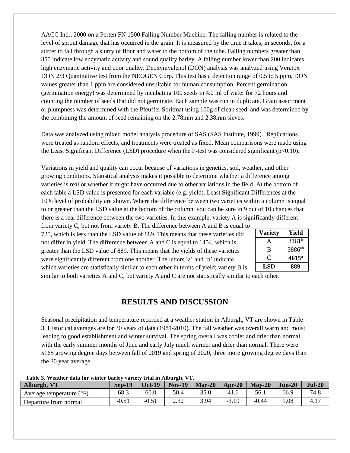AACC Intl., 2000 on a Perten FN 1500 Falling Number Machine. The falling number is related to the level of sprout damage that has occurred in the grain. It is measured by the time it takes, in seconds, for a stirrer to fall through a slurry of flour and water to the bottom of the tube. Falling numbers greater than 350 indicate low enzymatic activity and sound quality barley. A falling number lower than 200 indicates high enzymatic activity and poor quality. Deoxynivalenol (DON) analysis was analyzed using Veratox DON 2/3 Quantitative test from the NEOGEN Corp. This test has a detection range of 0.5 to 5 ppm. DON values greater than 1 ppm are considered unsuitable for human consumption. Percent germination (germination energy) was determined by incubating 100 seeds in 4.0 ml of water for 72 hours and counting the number of seeds that did not germinate. Each sample was run in duplicate. Grain assortment or plumpness was determined with the Pfeuffer Soritmat using 100g of clean seed, and was determined by the combining the amount of seed remaining on the 2.78mm and 2.38mm sieves.

Data was analyzed using mixed model analysis procedure of SAS (SAS Institute, 1999). Replications were treated as random effects, and treatments were treated as fixed. Mean comparisons were made using the Least Significant Difference (LSD) procedure when the F-test was considered significant ( $p<0.10$ ).

Variations in yield and quality can occur because of variations in genetics, soil, weather, and other growing conditions. Statistical analysis makes it possible to determine whether a difference among varieties is real or whether it might have occurred due to other variations in the field. At the bottom of each table a LSD value is presented for each variable (e.g. yield). Least Significant Differences at the 10% level of probability are shown. Where the difference between two varieties within a column is equal to or greater than the LSD value at the bottom of the column, you can be sure in 9 out of 10 chances that there is a real difference between the two varieties. In this example, variety A is significantly different from variety C, but not from variety B. The difference between A and B is equal to

725, which is less than the LSD value of 889. This means that these varieties did not differ in yield. The difference between A and C is equal to 1454, which is greater than the LSD value of 889. This means that the yields of these varieties were significantly different from one another. The letters 'a' and 'b' indicate which varieties are statistically similar to each other in terms of yield; variety B is

| <b>Variety</b> | Yield              |
|----------------|--------------------|
| A              | $3161^{b}$         |
| B              | 3886 <sup>ab</sup> |
| e              | $4615^a$           |
| <b>LSD</b>     | 889                |

similar to both varieties A and C, but variety A and C are not statistically similar to each other.

#### **RESULTS AND DISCUSSION**

Seasonal precipitation and temperature recorded at a weather station in Alburgh, VT are shown in Table 3. Historical averages are for 30 years of data (1981-2010). The fall weather was overall warm and moist, leading to good establishment and winter survival. The spring overall was cooler and drier than normal, with the early summer months of June and early July much warmer and drier than normal. There were 5165 growing degree days between fall of 2019 and spring of 2020, three more growing degree days than the 30 year average.

| Alburgh, VT                       | <b>Sep-19</b> | <b>Oct-19</b> | <b>Nov-19</b> | $Mar-20$ | $Apr-20$ | $\mathbf{Mav-}20$ | <b>Jun-20</b> | Jul-20 |
|-----------------------------------|---------------|---------------|---------------|----------|----------|-------------------|---------------|--------|
| Average temperature $(^{\circ}F)$ | 68.3          | 60.0          | 50.4          | 35.0     | 41.6     | 56.1              | 66.9          | 74.8   |
| Departure from normal             | $-0.51$       | $-0.51$       | ے ب           | 3.94     | $-3.19$  | $-0.44$           | 0.08          | 4.1.   |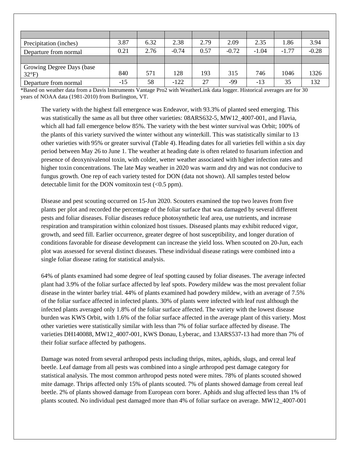| Precipitation (inches)                      | 3.87 | 6.32 | 2.38    | 2.79 | 2.09    | 2.35    | 1.86    | 3.94    |
|---------------------------------------------|------|------|---------|------|---------|---------|---------|---------|
| Departure from normal                       | 0.21 | 2.76 | $-0.74$ | 0.57 | $-0.72$ | $-1.04$ | $-1.77$ | $-0.28$ |
|                                             |      |      |         |      |         |         |         |         |
| Growing Degree Days (base)<br>$32^{\circ}F$ | 840  | 571  | 128     | 193  | 315     | 746     | 1046    | 1326    |
| Departure from normal                       | -15  | 58   | $-122$  | 27   | -99     | $-13$   | 35      | 132     |

\*Based on weather data from a Davis Instruments Vantage Pro2 with WeatherLink data logger. Historical averages are for 30 years of NOAA data (1981-2010) from Burlington, VT.

The variety with the highest fall emergence was Endeavor, with 93.3% of planted seed emerging. This was statistically the same as all but three other varieties: 08ARS632-5, MW12\_4007-001, and Flavia, which all had fall emergence below 85%. The variety with the best winter survival was Orbit; 100% of the plants of this variety survived the winter without any winterkill. This was statistically similar to 13 other varieties with 95% or greater survival (Table 4). Heading dates for all varieties fell within a six day period between May 26 to June 1. The weather at heading date is often related to fusarium infection and presence of deoxynivalenol toxin, with colder, wetter weather associated with higher infection rates and higher toxin concentrations. The late May weather in 2020 was warm and dry and was not conducive to fungus growth. One rep of each variety tested for DON (data not shown). All samples tested below detectable limit for the DON vomitoxin test  $(<0.5$  ppm).

Disease and pest scouting occurred on 15-Jun 2020. Scouters examined the top two leaves from five plants per plot and recorded the percentage of the foliar surface that was damaged by several different pests and foliar diseases. Foliar diseases reduce photosynthetic leaf area, use nutrients, and increase respiration and transpiration within colonized host tissues. Diseased plants may exhibit reduced vigor, growth, and seed fill. Earlier occurrence, greater degree of host susceptibility, and longer duration of conditions favorable for disease development can increase the yield loss. When scouted on 20-Jun, each plot was assessed for several distinct diseases. These individual disease ratings were combined into a single foliar disease rating for statistical analysis.

64% of plants examined had some degree of leaf spotting caused by foliar diseases. The average infected plant had 3.9% of the foliar surface affected by leaf spots. Powdery mildew was the most prevalent foliar disease in the winter barley trial. 44% of plants examined had powdery mildew, with an average of 7.5% of the foliar surface affected in infected plants. 30% of plants were infected with leaf rust although the infected plants averaged only 1.8% of the foliar surface affected. The variety with the lowest disease burden was KWS Orbit, with 1.6% of the foliar surface affected in the average plant of this variety. Most other varieties were statistically similar with less than 7% of foliar surface affected by disease. The varieties DH140088, MW12\_4007-001, KWS Donau, Lyberac, and 13ARS537-13 had more than 7% of their foliar surface affected by pathogens.

Damage was noted from several arthropod pests including thrips, mites, aphids, slugs, and cereal leaf beetle. Leaf damage from all pests was combined into a single arthropod pest damage category for statistical analysis. The most common arthropod pests noted were mites. 78% of plants scouted showed mite damage. Thrips affected only 15% of plants scouted. 7% of plants showed damage from cereal leaf beetle. 2% of plants showed damage from European corn borer. Aphids and slug affected less than 1% of plants scouted. No individual pest damaged more than 4% of foliar surface on average. MW12\_4007-001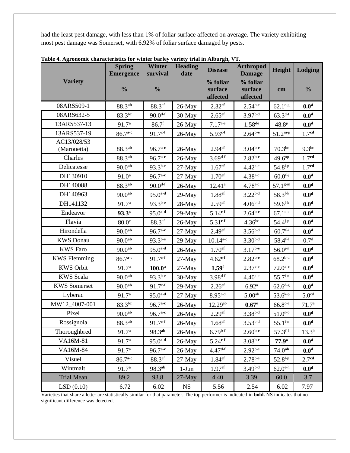had the least pest damage, with less than 1% of foliar surface affected on average. The variety exhibiting most pest damage was Somerset, with 6.92% of foliar surface damaged by pests.

|                     | <b>Spring</b><br><b>Emergence</b> | <b>Winter</b><br>survival | <b>Heading</b><br>date | <b>Disease</b>        | <b>Arthropod</b><br><b>Damage</b> | <b>Height</b>         | <b>Lodging</b>    |
|---------------------|-----------------------------------|---------------------------|------------------------|-----------------------|-----------------------------------|-----------------------|-------------------|
| <b>Variety</b>      |                                   |                           |                        | % foliar              | % foliar                          |                       |                   |
|                     | $\frac{0}{0}$                     | $\frac{0}{0}$             |                        | surface               | surface                           | $\mathbf{cm}$         | $\frac{0}{0}$     |
|                     |                                   |                           |                        | affected              | affected                          |                       |                   |
| 08ARS509-1          | $88.3^{ab}$                       | $88.3$ ef                 | 26-May                 | 2.32 <sup>ef</sup>    | $2.54^{b-e}$                      | $62.1^{\text{e-g}}$   | $0.0^d$           |
| 08ARS632-5          | $83.3^{bc}$                       | $90.0$ <sup>d-f</sup>     | 30-May                 | $2.65$ ef             | $3.97b-d$                         | $63.3^{d-f}$          | $0.0^d$           |
| 13ARS537-13         | 91.7 <sup>a</sup>                 | 86.7 <sup>f</sup>         | 26-May                 | $7.17^{a-e}$          | 1.58 <sup>de</sup>                | 48.8 <sup>p</sup>     | $0.0^d$           |
| 13ARS537-19         | $86.7^{a-c}$                      | $91.7^{\text{c-f}}$       | 26-May                 | $5.93^{c}$ f          | $2.64^{b-e}$                      | $51.2^{m-p}$          | 1.7 <sup>cd</sup> |
| AC13/028/53         |                                   |                           |                        |                       |                                   |                       |                   |
| (Marouetta)         | 88.3ab                            | $96.7^{a-c}$              | 26-May                 | 2.94 <sup>ef</sup>    | $3.04b-e$                         | 70.3 <sup>bc</sup>    | $9.3^{bc}$        |
| Charles             | 88.3ab                            | $96.7^{a-c}$              | 26-May                 | $3.69^{d-f}$          | $2.82^{b-e}$                      | 49.6 <sup>op</sup>    | 1.7 <sup>cd</sup> |
| Delicatesse         | 90.0 <sup>ab</sup>                | $93.3^{b-e}$              | $27$ -May              | 1.67 <sup>ef</sup>    | $4.42^{a-c}$                      | $54.8^{i-p}$          | 1.7 <sup>cd</sup> |
| DH130910            | $91.0^{\rm a}$                    | $96.7^{a-c}$              | 27-May                 | 1.70 <sup>ef</sup>    | $4.38^{a-c}$                      | $60.0$ <sup>f-j</sup> | $0.0^d$           |
| DH140088            | 88.3ab                            | $90.0^{d-f}$              | 26-May                 | $12.41^a$             | $4.78^{a-c}$                      | $57.1^{g-m}$          | $0.0^d$           |
| DH140963            | 90.0 <sup>ab</sup>                | $95.0^{a-d}$              | 29-May                 | 1.88 <sup>ef</sup>    | $3.22^{b-d}$                      | $58.3^{f-k}$          | 0.0 <sup>d</sup>  |
| DH141132            | 91.7 <sup>a</sup>                 | $93.3^{b-e}$              | 28-May                 | 2.59 <sup>ef</sup>    | $4.06b-d$                         | $59.6^{f-k}$          | $0.0^d$           |
| Endeavor            | $93.3^{\rm a}$                    | $95.0^{a-d}$              | 29-May                 | $5.14^{c-f}$          | $2.64^{b-e}$                      | $67.1^{\text{c-e}}$   | $0.0^d$           |
| Flavia              | 80.0 <sup>c</sup>                 | 88.3 <sup>ef</sup>        | $26$ -May              | $5.31^{c-f}$          | 4.36 <sup>bc</sup>                | $54.4^{j-p}$          | 0.0 <sup>d</sup>  |
| Hirondella          | 90.0 <sup>ab</sup>                | $96.7^{a-c}$              | 27-May                 | 2.49 <sup>ef</sup>    | $3.56^{b-d}$                      | $60.7f-i$             | $0.0^d$           |
| <b>KWS</b> Donau    | 90.0 <sup>ab</sup>                | $93.3^{b-e}$              | 29-May                 | $10.14^{a-c}$         | $3.30^{b-d}$                      | $58.4^{f-1}$          | 0.7 <sup>d</sup>  |
| <b>KWS</b> Faro     | 90.0 <sup>ab</sup>                | $95.0^{a-d}$              | 26-May                 | 1.70 <sup>ef</sup>    | $3.17^{b-e}$                      | $56.0^{j-n}$          | 0.0 <sup>d</sup>  |
| <b>KWS</b> Flemming | 86.7 <sup>a-c</sup>               | $91.7^{\text{c-f}}$       | 27-May                 | $4.62c-f$             | $2.82^{b-e}$                      | $68.2^{b-d}$          | $0.0^d$           |
| <b>KWS</b> Orbit    | 91.7 <sup>a</sup>                 | 100.0 <sup>a</sup>        | 27-May                 | 1.59 <sup>f</sup>     | $2.37c-e$                         | $72.0^{a-c}$          | $0.0^d$           |
| <b>KWS</b> Scala    | 90.0 <sup>ab</sup>                | $93.3^{b-e}$              | 30-May                 | $3.98^{d-f}$          | $4.40^{a-c}$                      | $55.7^{i-n}$          | 0.0 <sup>d</sup>  |
| <b>KWS</b> Somerset | 90.0 <sup>ab</sup>                | $91.7^{\text{c-f}}$       | 29-May                 | 2.26 <sup>ef</sup>    | 6.92 <sup>a</sup>                 | $62.6^{d-g}$          | $0.0^d$           |
| Lyberac             | 91.7 <sup>a</sup>                 | $95.0^{a-d}$              | 27-May                 | $8.95^{a-d}$          | 5.00 <sup>ab</sup>                | $53.6^{k-p}$          | 5.0 <sup>cd</sup> |
| MW12_4007-001       | $83.3^{bc}$                       | $96.7^{a-c}$              | 26-May                 | $12.29^{ab}$          | 0.67 <sup>e</sup>                 | $66.8^{c-e}$          | 71.7 <sup>a</sup> |
| Pixel               | 90.0 <sup>ab</sup>                | $96.7^{a-c}$              | 26-May                 | 2.29 <sup>ef</sup>    | $3.38^{b-d}$                      | $51.0^{n-p}$          | $0.0^d$           |
| Rossignola          | 88.3ab                            | $91.7^{c-f}$              | 26-May                 | 1.68 <sup>ef</sup>    | $3.53^{b-d}$                      | $55.1^{i-n}$          | $0.0^d$           |
| Thoroughbred        | 91.7 <sup>a</sup>                 | 98.3ab                    | 26-May                 | $6.79b-f$             | $2.60^{b-e}$                      | $57.3^{f-1}$          | $13.3^{b}$        |
| VA16M-81            | 91.7 <sup>a</sup>                 | $95.0a-d$                 | 26-May                 | $5.24$ <sup>c-f</sup> | $3.08b-e$                         | 77.9 <sup>a</sup>     | $0.0^d$           |
| VA16M-84            | 91.7 <sup>a</sup>                 | $96.7^{a-c}$              | 26-May                 | $4.47^{d-f}$          | $2.92^{b-e}$                      | 74.0 <sup>ab</sup>    | $0.0^d$           |
| Visuel              | $86.7^{a-c}$                      | $88.3$ ef                 | $27$ -May              | $1.84$ <sup>ef</sup>  | $2.78^{b-e}$                      | $52.8^{1-p}$          | 2.7 <sup>cd</sup> |
| Wintmalt            | 91.7 <sup>a</sup>                 | 98.3ab                    | $1-Jun$                | 1.97 <sup>ef</sup>    | $3.49^{b-d}$                      | $62.0^{\text{e-h}}$   | 0.0 <sup>d</sup>  |
| <b>Trial Mean</b>   | 89.2                              | 93.8                      | 27-May                 | 4.40                  | 3.39                              | 60.0                  | 3.7               |
| LSD(0.10)           | 6.72                              | 6.02                      | <b>NS</b>              | 5.56                  | 2.54                              | 6.02                  | 7.97              |

 **Table 4. Agronomic characteristics for winter barley variety trial in Alburgh, VT.**

Varieties that share a letter are statistically similar for that parameter. The top performer is indicated in **bold.** NS indicates that no significant difference was detected.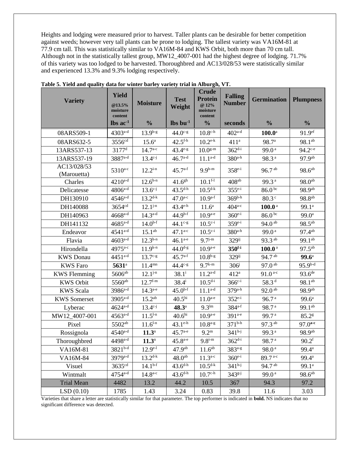Heights and lodging were measured prior to harvest. Taller plants can be desirable for better competition against weeds; however very tall plants can be prone to lodging. The tallest variety was VA16M-81 at 77.9 cm tall. This was statistically similar to VA16M-84 and KWS Orbit, both more than 70 cm tall. Although not in the statistically tallest group, MW12\_4007-001 had the highest degree of lodging. 71.7% of this variety was too lodged to be harvested. Thoroughbred and AC13/028/53 were statistically similar and experienced 13.3% and 9.3% lodging respectively.

| <b>Variety</b>             | <b>Yield</b><br>@13.5%<br>moisture<br>content | <b>Moisture</b>     | <b>Test</b><br>Weight          | <b>Crude</b><br><b>Protein</b><br>@ 12%<br>moisture<br>content | <b>Falling</b><br><b>Number</b> | <b>Germination</b>  | <b>Plumpness</b>    |
|----------------------------|-----------------------------------------------|---------------------|--------------------------------|----------------------------------------------------------------|---------------------------------|---------------------|---------------------|
|                            | $\text{lbs}$ ac <sup>-1</sup>                 | $\frac{0}{0}$       | $\mathbf{lbs}\mathbf{bu}^{-1}$ | $\frac{0}{0}$                                                  | seconds                         | $\frac{0}{0}$       | $\frac{0}{0}$       |
| 08ARS509-1                 | $4303^{a-d}$                                  | $13.9^{b-g}$        | 44.0°8                         | $10.8^{\text{c-h}}$                                            | $402a-d$                        | $100.0^{\text{a}}$  | 91.9 <sup>ef</sup>  |
| 08ARS632-5                 | 3556 <sup>cd</sup>                            | $15.6^{\circ}$      | $42.5$ <sup>f-h</sup>          | $10.2^{\text{e-k}}$                                            | 411 <sup>a</sup>                | 98.7 <sup>a</sup>   | $98.1^{ab}$         |
| 13ARS537-13                | $3177^{\rm d}$                                | $14.7^{a-c}$        | $43.4^{e-g}$                   | $10.0g-m$                                                      | $362^{d-i}$                     | 99.0 <sup>a</sup>   | $94.2^{\text{c-e}}$ |
| 13ARS537-19                | 3887 <sup>a-d</sup>                           | $13.4^{c-j}$        | $46.7^{a-d}$                   | $11.1^{a-d}$                                                   | $380a-h$                        | 98.3 <sup>a</sup>   | $97.9^{ab}$         |
| AC13/028/53<br>(Marouetta) | 5310 <sup>a-c</sup>                           | $12.2^{i-n}$        | $45.7^{a-f}$                   | $9.9^{h-m}$                                                    | $358^{e-i}$                     | $96.7^{ab}$         | $98.6^{ab}$         |
| Charles                    | $4210^{a-d}$                                  | $12.6^{h-n}$        | $41.6^{gh}$                    | $10.1^{f-1}$                                                   | $408^{ab}$                      | 99.3 <sup>a</sup>   | $98.0^{ab}$         |
| Delicatesse                | $4806^{\text{a-d}}$                           | $13.6^{c-j}$        | $43.5^{\text{d-h}}$            | $10.5^{d-k}$                                                   | $355^{e-i}$                     | 86.0 <sup>bc</sup>  | 98.9 <sup>ab</sup>  |
| DH130910                   | $4546^{\text{a-d}}$                           | $13.2^{d-k}$        | $47.0^{a-c}$                   | $10.9a-f$                                                      | $369^{b-h}$                     | 80.3 <sup>c</sup>   | 98.8 <sup>ab</sup>  |
| DH140088                   | 3654 <sup>cd</sup>                            | $12.1^{j-n}$        | $43.4^{\text{e-h}}$            | 11.6 <sup>a</sup>                                              | $404^{\mathrm{a-c}}$            | $100.0^{\text{ a}}$ | $99.1^{\circ}$      |
| DH140963                   | $4668$ <sup>a-d</sup>                         | $14.3^{a-d}$        | $44.9^{b-f}$                   | $10.9^{a-e}$                                                   | $360^{e-i}$                     | $86.0\,^{\rm bc}$   | 99.0 <sup>a</sup>   |
| DH141132                   | $4685$ <sup>a-d</sup>                         | $14.0^{b-f}$        | 44.1 <sup>c-g</sup>            | $10.5^{c-i}$                                                   | $359^{e-i}$                     | 94.0 <sup>ab</sup>  | 98.5 <sup>ab</sup>  |
| Endeavor                   | $4541^{a-d}$                                  | $15.1^{ab}$         | $47.1^{a-c}$                   | $10.5^{c-i}$                                                   | $380a-h$                        | 99.0 <sup>a</sup>   | 97.4ab              |
| Flavia                     | $4603^{a-d}$                                  | $12.3^{h-n}$        | $46.1^{a-e}$                   | $9.7^{j-m}$                                                    | 329 <sup>ij</sup>               | 93.3 <sup>ab</sup>  | 99.1 <sup>ab</sup>  |
| Hirondella                 | 4975 <sup>a-c</sup>                           | $11.9^{k-n}$        | $44.0^{d-g}$                   | $10.9^{a-e}$                                                   | $350f-i$                        | $100.0^{\text{ a}}$ | $97.5^{ab}$         |
| <b>KWS</b> Donau           | $4451^{a-d}$                                  | $13.7c-g$           | $45.7^{\text{a-f}}$            | $10.8^{b-g}$                                                   | 329 <sup>ij</sup>               | 94.7 <sup>ab</sup>  | $99.6^{\mathrm{a}}$ |
| <b>KWS</b> Faro            | $5631$ <sup>a</sup>                           | $11.4^{mn}$         | $44.4^{\circ}$                 | $9.7^{k-m}$                                                    | $306^{\circ}$                   | $97.0^{ab}$         | $95.9^{b-d}$        |
| <b>KWS</b> Flemming        | 5606 <sup>ab</sup>                            | $12.1^{j-n}$        | $38.1^{\rm i}$                 | $11.2^{a-d}$                                                   | $412^a$                         | $91.0^{a-c}$        | 93.6 <sup>de</sup>  |
| <b>KWS</b> Orbit           | $5560^{ab}$                                   | $12.7^{\text{f-m}}$ | $38.4^{i}$                     | $10.5^{d-i}$                                                   | $366^{c-i}$                     | 58.3 <sup>d</sup>   | $98.1^{ab}$         |
| <b>KWS</b> Scala           | 3986 <sup>a-d</sup>                           | $14.3^{a-e}$        | $45.0^{b-f}$                   | $11.1^{a-d}$                                                   | $379$ <sup>a-h</sup>            | $92.0\,^{\rm ab}$   | 98.9 <sup>ab</sup>  |
| <b>KWS</b> Somerset        | $3905^{a-d}$                                  | $15.2^{ab}$         | 40.5 <sup>hi</sup>             | $11.0^{a-e}$                                                   | $352^{e-i}$                     | 96.7 <sup>a</sup>   | $99.6^{\mathrm{a}}$ |
| Lyberac                    | $4624^{a-d}$                                  | $13.4^{c-j}$        | 48.3 <sup>a</sup>              | 9.3 <sup>lm</sup>                                              | $384$ <sup>a-f</sup>            | 98.7 <sup>a</sup>   | 99.1 <sup>ab</sup>  |
| MW12_4007-001              | $4563^{a-d}$                                  | $11.5^{1-n}$        | 40.6 <sup>hi</sup>             | $10.9^{a-e}$                                                   | 391 <sup>a-e</sup>              | 99.7 <sup>a</sup>   | $85.2$ <sup>g</sup> |
| Pixel                      | 5502 <sup>ab</sup>                            | $11.6^{1-n}$        | $43.1^{\text{e-h}}$            | $10.8^{a-g}$                                                   | $371^{b-h}$                     | 97.3 <sup>ab</sup>  | $97.0^{a-c}$        |
| Rossignola                 | $4540$ <sup>a-d</sup>                         | $11.3^n$            | $45.7^{a-e}$                   | 9.2 <sup>m</sup>                                               | $341^{h-j}$                     | 99.3 <sup>a</sup>   | 98.9ab              |
| Thoroughbred               | 4498 <sup>a-d</sup>                           | 11.3 <sup>n</sup>   | $45.8^{a-e}$                   | $9.8^{i-m}$                                                    | $362^{d-i}$                     | 98.7 <sup>a</sup>   | $90.2^{\rm f}$      |
| VA16M-81                   | 3821b-d                                       | $12.9^{e-1}$        | 47.9 <sup>ab</sup>             | 11.6 <sup>ab</sup>                                             | $383a-g$                        | 98.0 <sup>a</sup>   | 99.4 <sup>a</sup>   |
| VA16M-84                   | 3979 <sup>a-d</sup>                           | $13.2^{d-k}$        | 48.0 <sup>ab</sup>             | $11.3^{a-c}$                                                   | $360^{e-i}$                     | 89.7 <sup>a-c</sup> | 99.4 <sup>a</sup>   |
| Visuel                     | $3635$ <sup>cd</sup>                          | $14.1^{b-f}$        | $43.6^{d-h}$                   | $10.5^{d-k}$                                                   | $341^{h-j}$                     | 94.7 <sup>ab</sup>  | 99.1 <sup>a</sup>   |
| Wintmalt                   | $4754^{a-d}$                                  | $14.8^{a-c}$        | $43.6^{d-h}$                   | $10.7^{\text{c-h}}$                                            | $343^{g-j}$                     | 99.0 <sup>a</sup>   | 98.6 <sup>ab</sup>  |
| <b>Trial Mean</b>          | 4482                                          | 13.2                | 44.2                           | 10.5                                                           | 367                             | 94.3                | 97.2                |
| LSD(0.10)                  | 1785                                          | 1.43                | 3.24                           | 0.83                                                           | 39.8                            | 11.6                | 3.03                |

**Table 5. Yield and quality data for winter barley variety trial in Alburgh, VT.**

Varieties that share a letter are statistically similar for that parameter. The top performer is indicated in **bold.** NS indicates that no significant difference was detected.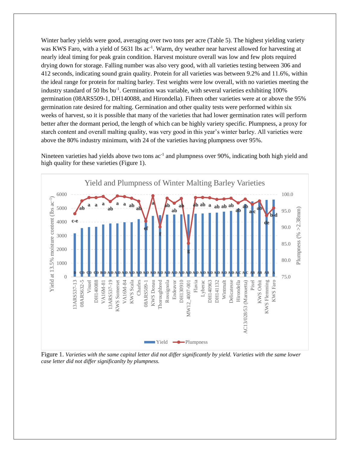Winter barley yields were good, averaging over two tons per acre (Table 5). The highest yielding variety was KWS Faro, with a yield of 5631 lbs ac<sup>-1</sup>. Warm, dry weather near harvest allowed for harvesting at nearly ideal timing for peak grain condition. Harvest moisture overall was low and few plots required drying down for storage. Falling number was also very good, with all varieties testing between 306 and 412 seconds, indicating sound grain quality. Protein for all varieties was between 9.2% and 11.6%, within the ideal range for protein for malting barley. Test weights were low overall, with no varieties meeting the industry standard of 50 lbs bu<sup>-1</sup>. Germination was variable, with several varieties exhibiting 100% germination (08ARS509-1, DH140088, and Hirondella). Fifteen other varieties were at or above the 95% germination rate desired for malting. Germination and other quality tests were performed within six weeks of harvest, so it is possible that many of the varieties that had lower germination rates will perform better after the dormant period, the length of which can be highly variety specific. Plumpness, a proxy for starch content and overall malting quality, was very good in this year's winter barley. All varieties were above the 80% industry minimum, with 24 of the varieties having plumpness over 95%.

Nineteen varieties had yields above two tons ac<sup>-1</sup> and plumpness over 90%, indicating both high yield and high quality for these varieties (Figure 1).



Figure 1. *Varieties with the same capital letter did not differ significantly by yield. Varieties with the same lower case letter did not differ significanlty by plumpness.*